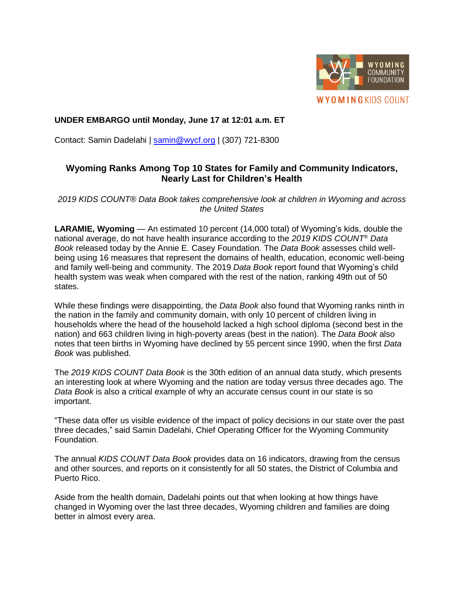

## **UNDER EMBARGO until Monday, June 17 at 12:01 a.m. ET**

Contact: Samin Dadelahi | [samin@wycf.org](mailto:samin@wycf.org) | (307) 721-8300

# **Wyoming Ranks Among Top 10 States for Family and Community Indicators, Nearly Last for Children's Health**

*2019 KIDS COUNT® Data Book takes comprehensive look at children in Wyoming and across the United States* 

**LARAMIE, Wyoming** — An estimated 10 percent (14,000 total) of Wyoming's kids, double the national average, do not have health insurance according to the *2019 KIDS COUNT*® *Data Book* released today by the Annie E. Casey Foundation. The *Data Book* assesses child wellbeing using 16 measures that represent the domains of health, education, economic well-being and family well-being and community. The 2019 *Data Book* report found that Wyoming's child health system was weak when compared with the rest of the nation, ranking 49th out of 50 states.

While these findings were disappointing, the *Data Book* also found that Wyoming ranks ninth in the nation in the family and community domain, with only 10 percent of children living in households where the head of the household lacked a high school diploma (second best in the nation) and 663 children living in high-poverty areas (best in the nation). The *Data Book* also notes that teen births in Wyoming have declined by 55 percent since 1990, when the first *Data Book* was published.

The *2019 KIDS COUNT Data Book* is the 30th edition of an annual data study, which presents an interesting look at where Wyoming and the nation are today versus three decades ago. The *Data Book* is also a critical example of why an accurate census count in our state is so important.

"These data offer us visible evidence of the impact of policy decisions in our state over the past three decades," said Samin Dadelahi, Chief Operating Officer for the Wyoming Community Foundation.

The annual *KIDS COUNT Data Book* provides data on 16 indicators, drawing from the census and other sources, and reports on it consistently for all 50 states, the District of Columbia and Puerto Rico.

Aside from the health domain, Dadelahi points out that when looking at how things have changed in Wyoming over the last three decades, Wyoming children and families are doing better in almost every area.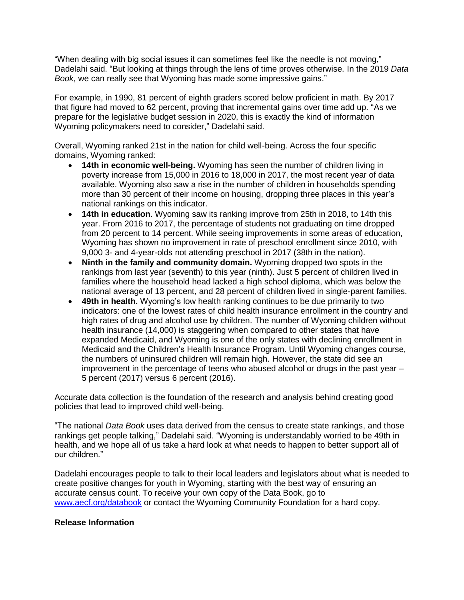"When dealing with big social issues it can sometimes feel like the needle is not moving," Dadelahi said. "But looking at things through the lens of time proves otherwise. In the 2019 *Data Book*, we can really see that Wyoming has made some impressive gains."

For example, in 1990, 81 percent of eighth graders scored below proficient in math. By 2017 that figure had moved to 62 percent, proving that incremental gains over time add up. "As we prepare for the legislative budget session in 2020, this is exactly the kind of information Wyoming policymakers need to consider," Dadelahi said.

Overall, Wyoming ranked 21st in the nation for child well-being. Across the four specific domains, Wyoming ranked:

- **14th in economic well-being.** Wyoming has seen the number of children living in poverty increase from 15,000 in 2016 to 18,000 in 2017, the most recent year of data available. Wyoming also saw a rise in the number of children in households spending more than 30 percent of their income on housing, dropping three places in this year's national rankings on this indicator.
- **14th in education**. Wyoming saw its ranking improve from 25th in 2018, to 14th this year. From 2016 to 2017, the percentage of students not graduating on time dropped from 20 percent to 14 percent. While seeing improvements in some areas of education, Wyoming has shown no improvement in rate of preschool enrollment since 2010, with 9,000 3- and 4-year-olds not attending preschool in 2017 (38th in the nation).
- **Ninth in the family and community domain.** Wyoming dropped two spots in the rankings from last year (seventh) to this year (ninth). Just 5 percent of children lived in families where the household head lacked a high school diploma, which was below the national average of 13 percent, and 28 percent of children lived in single-parent families.
- **49th in health.** Wyoming's low health ranking continues to be due primarily to two indicators: one of the lowest rates of child health insurance enrollment in the country and high rates of drug and alcohol use by children. The number of Wyoming children without health insurance (14,000) is staggering when compared to other states that have expanded Medicaid, and Wyoming is one of the only states with declining enrollment in Medicaid and the Children's Health Insurance Program. Until Wyoming changes course, the numbers of uninsured children will remain high. However, the state did see an improvement in the percentage of teens who abused alcohol or drugs in the past year – 5 percent (2017) versus 6 percent (2016).

Accurate data collection is the foundation of the research and analysis behind creating good policies that lead to improved child well-being.

"The national *Data Book* uses data derived from the census to create state rankings, and those rankings get people talking," Dadelahi said. "Wyoming is understandably worried to be 49th in health, and we hope all of us take a hard look at what needs to happen to better support all of our children."

Dadelahi encourages people to talk to their local leaders and legislators about what is needed to create positive changes for youth in Wyoming, starting with the best way of ensuring an accurate census count. To receive your own copy of the Data Book, go to www.aecf.org/databook or contact the Wyoming Community Foundation for a hard copy.

### **Release Information**